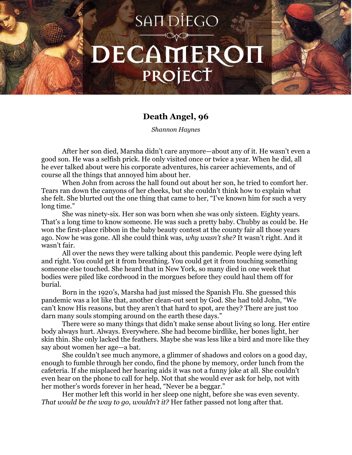## SAIT DIEGO DECAMEROI PROJECT

## **Death Angel, 96**

*Shannon Haynes*

After her son died, Marsha didn't care anymore—about any of it. He wasn't even a good son. He was a selfish prick. He only visited once or twice a year. When he did, all he ever talked about were his corporate adventures, his career achievements, and of course all the things that annoyed him about her.

When John from across the hall found out about her son, he tried to comfort her. Tears ran down the canyons of her cheeks, but she couldn't think how to explain what she felt. She blurted out the one thing that came to her, "I've known him for such a very long time."

She was ninety-six. Her son was born when she was only sixteen. Eighty years. That's a long time to know someone. He was such a pretty baby. Chubby as could be. He won the first-place ribbon in the baby beauty contest at the county fair all those years ago. Now he was gone. All she could think was, *why wasn't she?* It wasn't right. And it wasn't fair.

All over the news they were talking about this pandemic. People were dying left and right. You could get it from breathing. You could get it from touching something someone else touched. She heard that in New York, so many died in one week that bodies were piled like cordwood in the morgues before they could haul them off for burial.

Born in the 1920's, Marsha had just missed the Spanish Flu. She guessed this pandemic was a lot like that, another clean-out sent by God. She had told John, "We can't know His reasons, but they aren't that hard to spot, are they? There are just too darn many souls stomping around on the earth these days."

There were so many things that didn't make sense about living so long. Her entire body always hurt. Always. Everywhere. She had become birdlike, her bones light, her skin thin. She only lacked the feathers. Maybe she was less like a bird and more like they say about women her age—a bat.

She couldn't see much anymore, a glimmer of shadows and colors on a good day, enough to fumble through her condo, find the phone by memory, order lunch from the cafeteria. If she misplaced her hearing aids it was not a funny joke at all. She couldn't even hear on the phone to call for help. Not that she would ever ask for help, not with her mother's words forever in her head, "Never be a beggar."

Her mother left this world in her sleep one night, before she was even seventy. *That would be the way to go, wouldn't it?* Her father passed not long after that.